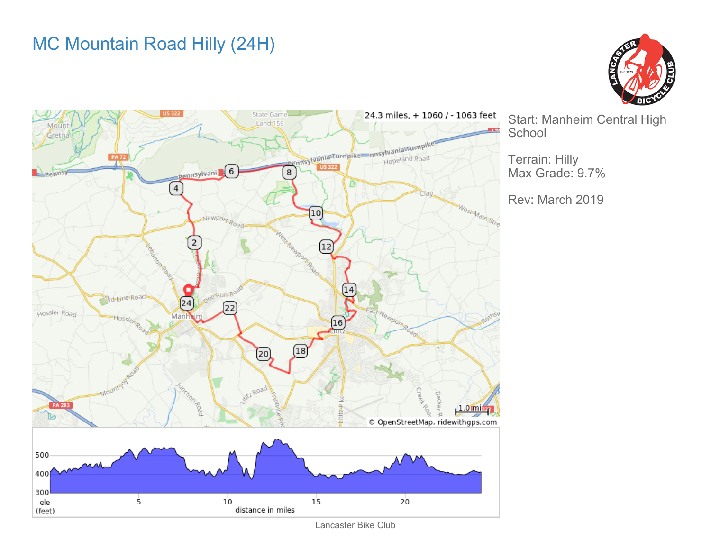## MC Mountain Road Hilly (24H)





Start: Manheim Central High **School** 

Terrain: Hilly Max Grade: 9.7%

Rev: March 2019